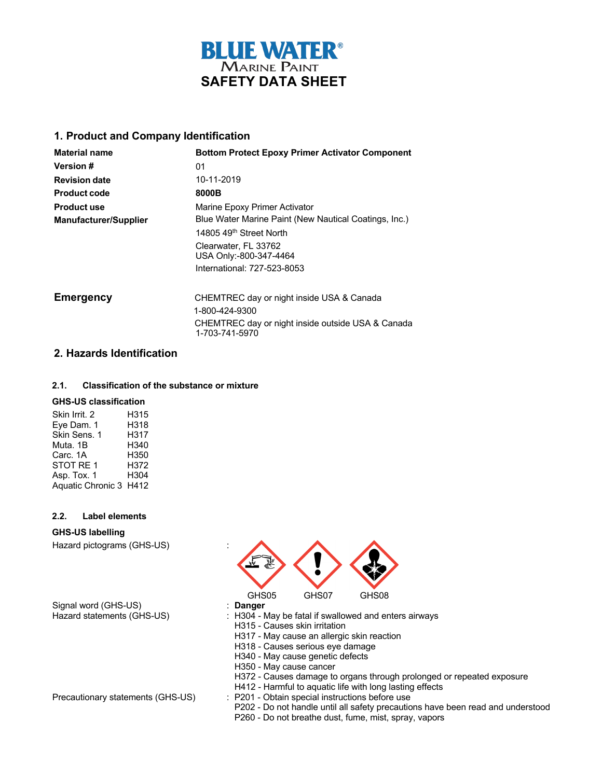

## **1. Product and Company Identification**

| <b>Material name</b>         | <b>Bottom Protect Epoxy Primer Activator Component</b> |
|------------------------------|--------------------------------------------------------|
| Version #                    | 01                                                     |
| <b>Revision date</b>         | 10-11-2019                                             |
| <b>Product code</b>          | 8000B                                                  |
| <b>Product use</b>           | Marine Epoxy Primer Activator                          |
| <b>Manufacturer/Supplier</b> | Blue Water Marine Paint (New Nautical Coatings, Inc.)  |
|                              | 14805 49 <sup>th</sup> Street North                    |
|                              | Clearwater, FL 33762<br>USA Only:-800-347-4464         |
|                              | International: 727-523-8053                            |
| <b>Emergency</b>             | CHEMTREC day or night inside USA & Canada              |
|                              | 1-800-424-9300                                         |
|                              | CHEMTREC day or night inside outside USA & Canada      |

1-703-741-5970

## **2. Hazards Identification**

#### **2.1. Classification of the substance or mixture**

#### **GHS-US classification**

| Skin Irrit, 2          | H315 |
|------------------------|------|
| Eye Dam. 1             | H318 |
| Skin Sens. 1           | H317 |
| Muta, 1B               | H340 |
| Carc. 1A               | H350 |
| STOT RE 1              | H372 |
| Asp. Tox. 1            | H304 |
| Aquatic Chronic 3 H412 |      |

#### **2.2. Label elements**

#### **GHS-US labelling**

Hazard pictograms (GHS-US) :

Signal word (GHS-US)<br>Hazard statements (GHS-US)

GHS05 GHS07 GHS08<br>: Danger

 $:$  H304 - May be fatal if swallowed and enters airways

H315 - Causes skin irritation

H317 - May cause an allergic skin reaction

H318 - Causes serious eye damage

H340 - May cause genetic defects

H350 - May cause cancer

H372 - Causes damage to organs through prolonged or repeated exposure

- H412 Harmful to aquatic life with long lasting effects
- Precautionary statements (GHS-US) : P201 Obtain special instructions before use

P202 - Do not handle until all safety precautions have been read and understood P260 - Do not breathe dust, fume, mist, spray, vapors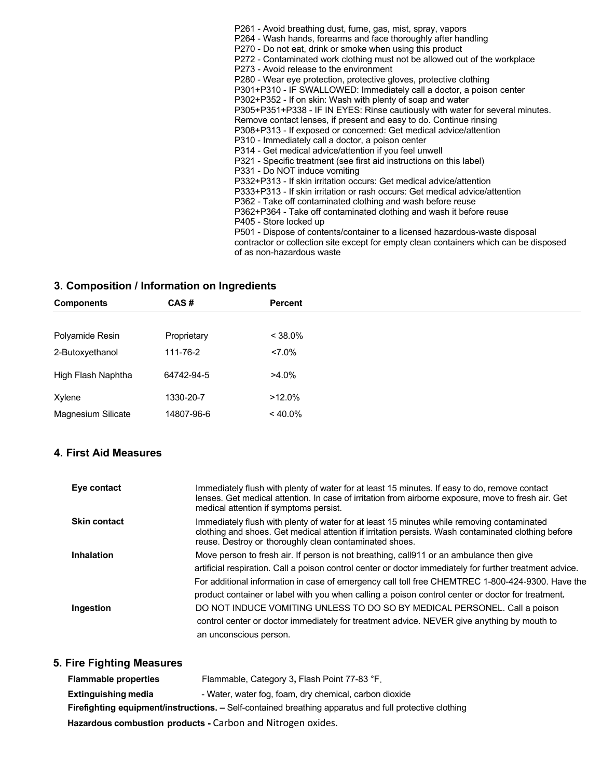P261 - Avoid breathing dust, fume, gas, mist, spray, vapors P264 - Wash hands, forearms and face thoroughly after handling P270 - Do not eat, drink or smoke when using this product P272 - Contaminated work clothing must not be allowed out of the workplace P273 - Avoid release to the environment P280 - Wear eye protection, protective gloves, protective clothing P301+P310 - IF SWALLOWED: Immediately call a doctor, a poison center P302+P352 - If on skin: Wash with plenty of soap and water P305+P351+P338 - IF IN EYES: Rinse cautiously with water for several minutes. Remove contact lenses, if present and easy to do. Continue rinsing P308+P313 - If exposed or concerned: Get medical advice/attention P310 - Immediately call a doctor, a poison center P314 - Get medical advice/attention if you feel unwell P321 - Specific treatment (see first aid instructions on this label) P331 - Do NOT induce vomiting P332+P313 - If skin irritation occurs: Get medical advice/attention P333+P313 - If skin irritation or rash occurs: Get medical advice/attention P362 - Take off contaminated clothing and wash before reuse P362+P364 - Take off contaminated clothing and wash it before reuse P405 - Store locked up P501 - Dispose of contents/container to a licensed hazardous-waste disposal contractor or collection site except for empty clean containers which can be disposed of as non-hazardous waste

## **3. Composition / Information on Ingredients**

| <b>Components</b>  | CAS#        | <b>Percent</b> |  |
|--------------------|-------------|----------------|--|
|                    |             |                |  |
| Polyamide Resin    | Proprietary | $< 38.0\%$     |  |
| 2-Butoxyethanol    | 111-76-2    | $27.0\%$       |  |
| High Flash Naphtha | 64742-94-5  | $>4.0\%$       |  |
| Xylene             | 1330-20-7   | $>12.0\%$      |  |
| Magnesium Silicate | 14807-96-6  | $< 40.0\%$     |  |

## **4. First Aid Measures**

| Eye contact         | Immediately flush with plenty of water for at least 15 minutes. If easy to do, remove contact<br>lenses. Get medical attention. In case of irritation from airborne exposure, move to fresh air. Get<br>medical attention if symptoms persist.                                                                                                                                                                |
|---------------------|---------------------------------------------------------------------------------------------------------------------------------------------------------------------------------------------------------------------------------------------------------------------------------------------------------------------------------------------------------------------------------------------------------------|
| <b>Skin contact</b> | Immediately flush with plenty of water for at least 15 minutes while removing contaminated<br>clothing and shoes. Get medical attention if irritation persists. Wash contaminated clothing before<br>reuse. Destroy or thoroughly clean contaminated shoes.                                                                                                                                                   |
| <b>Inhalation</b>   | Move person to fresh air. If person is not breathing, call 911 or an ambulance then give<br>artificial respiration. Call a poison control center or doctor immediately for further treatment advice.<br>For additional information in case of emergency call toll free CHEMTREC 1-800-424-9300. Have the<br>product container or label with you when calling a poison control center or doctor for treatment. |
| Ingestion           | DO NOT INDUCE VOMITING UNLESS TO DO SO BY MEDICAL PERSONEL. Call a poison<br>control center or doctor immediately for treatment advice. NEVER give anything by mouth to<br>an unconscious person.                                                                                                                                                                                                             |

## **5. Fire Fighting Measures**

| <b>Flammable properties</b>                                                                                   | Flammable, Category 3, Flash Point 77-83 °F.           |  |
|---------------------------------------------------------------------------------------------------------------|--------------------------------------------------------|--|
| <b>Extinguishing media</b>                                                                                    | - Water, water fog, foam, dry chemical, carbon dioxide |  |
| <b>Firefighting equipment/instructions.</b> – Self-contained breathing apparatus and full protective clothing |                                                        |  |
| Hazardous combustion products - Carbon and Nitrogen oxides.                                                   |                                                        |  |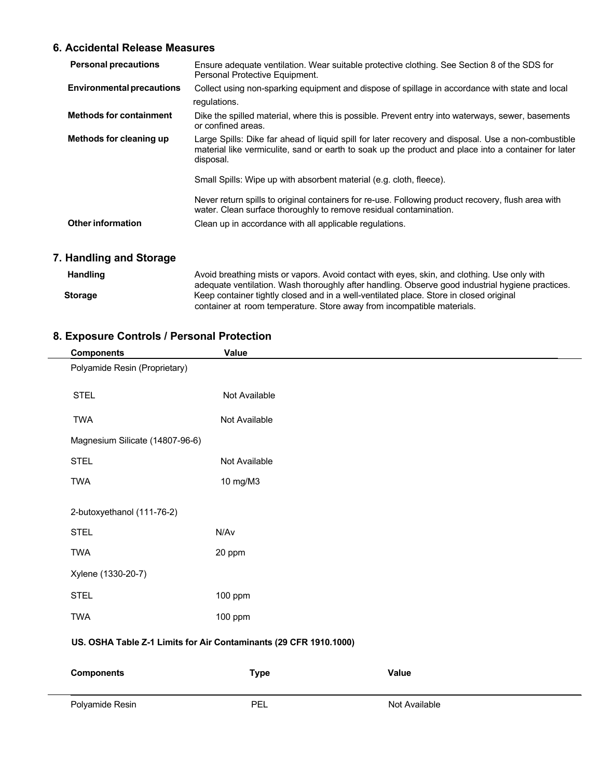# **6. Accidental Release Measures**

| <b>Personal precautions</b>      | Ensure adequate ventilation. Wear suitable protective clothing. See Section 8 of the SDS for<br>Personal Protective Equipment.                                                                                           |
|----------------------------------|--------------------------------------------------------------------------------------------------------------------------------------------------------------------------------------------------------------------------|
| <b>Environmental precautions</b> | Collect using non-sparking equipment and dispose of spillage in accordance with state and local<br>regulations.                                                                                                          |
| <b>Methods for containment</b>   | Dike the spilled material, where this is possible. Prevent entry into waterways, sewer, basements<br>or confined areas.                                                                                                  |
| Methods for cleaning up          | Large Spills: Dike far ahead of liquid spill for later recovery and disposal. Use a non-combustible<br>material like vermiculite, sand or earth to soak up the product and place into a container for later<br>disposal. |
|                                  | Small Spills: Wipe up with absorbent material (e.g. cloth, fleece).                                                                                                                                                      |
|                                  | Never return spills to original containers for re-use. Following product recovery, flush area with<br>water. Clean surface thoroughly to remove residual contamination.                                                  |
| <b>Other information</b>         | Clean up in accordance with all applicable regulations.                                                                                                                                                                  |

# **7. Handling and Storage**

| <b>Handling</b> | Avoid breathing mists or vapors. Avoid contact with eyes, skin, and clothing. Use only with<br>adequate ventilation. Wash thoroughly after handling. Observe good industrial hygiene practices. |
|-----------------|-------------------------------------------------------------------------------------------------------------------------------------------------------------------------------------------------|
| <b>Storage</b>  | Keep container tightly closed and in a well-ventilated place. Store in closed original                                                                                                          |
|                 | container at room temperature. Store away from incompatible materials.                                                                                                                          |

# **8. Exposure Controls / Personal Protection**

| <b>Components</b>                                                 | Value         |       |
|-------------------------------------------------------------------|---------------|-------|
| Polyamide Resin (Proprietary)                                     |               |       |
| <b>STEL</b>                                                       | Not Available |       |
| <b>TWA</b>                                                        | Not Available |       |
| Magnesium Silicate (14807-96-6)                                   |               |       |
| <b>STEL</b>                                                       | Not Available |       |
| <b>TWA</b>                                                        | 10 mg/M3      |       |
| 2-butoxyethanol (111-76-2)                                        |               |       |
| <b>STEL</b>                                                       | N/Av          |       |
| <b>TWA</b>                                                        | 20 ppm        |       |
| Xylene (1330-20-7)                                                |               |       |
| <b>STEL</b>                                                       | 100 ppm       |       |
| <b>TWA</b>                                                        | 100 ppm       |       |
| US. OSHA Table Z-1 Limits for Air Contaminants (29 CFR 1910.1000) |               |       |
| <b>Components</b>                                                 | <b>Type</b>   | Value |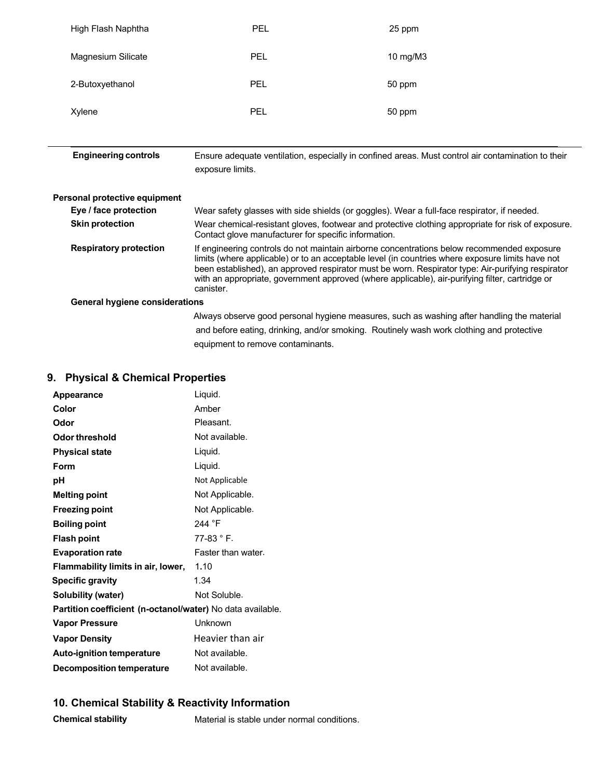| High Flash Naphtha | PEL | 25 ppm   |
|--------------------|-----|----------|
| Magnesium Silicate | PEL | 10 mg/M3 |
| 2-Butoxyethanol    | PEL | 50 ppm   |
| Xylene             | PEL | 50 ppm   |

| <b>Engineering controls</b> | Ensure adequate ventilation, especially in confined areas. Must control air contamination to their |
|-----------------------------|----------------------------------------------------------------------------------------------------|
|                             | exposure limits.                                                                                   |

| Personal protective equipment         |                                                                                                                                                                                                                                                                                                                                                                                                                     |
|---------------------------------------|---------------------------------------------------------------------------------------------------------------------------------------------------------------------------------------------------------------------------------------------------------------------------------------------------------------------------------------------------------------------------------------------------------------------|
| Eye / face protection                 | Wear safety glasses with side shields (or goggles). Wear a full-face respirator, if needed.                                                                                                                                                                                                                                                                                                                         |
| <b>Skin protection</b>                | Wear chemical-resistant gloves, footwear and protective clothing appropriate for risk of exposure.<br>Contact glove manufacturer for specific information.                                                                                                                                                                                                                                                          |
| <b>Respiratory protection</b>         | If engineering controls do not maintain airborne concentrations below recommended exposure<br>limits (where applicable) or to an acceptable level (in countries where exposure limits have not<br>been established), an approved respirator must be worn. Respirator type: Air-purifying respirator<br>with an appropriate, government approved (where applicable), air-purifying filter, cartridge or<br>canister. |
| <b>General hygiene considerations</b> |                                                                                                                                                                                                                                                                                                                                                                                                                     |
|                                       | Always observe good personal hygiene measures, such as washing after handling the material<br>and before eating, drinking, and/or smoking. Routinely wash work clothing and protective                                                                                                                                                                                                                              |

equipment to remove contaminants.

# **9. Physical & Chemical Properties**

| <b>Appearance</b>                                          | Liquid.            |  |
|------------------------------------------------------------|--------------------|--|
| Color                                                      | Amber              |  |
| Odor                                                       | Pleasant.          |  |
| Odor threshold                                             | Not available.     |  |
| <b>Physical state</b>                                      | Liquid.            |  |
| Form                                                       | Liquid.            |  |
| рH                                                         | Not Applicable     |  |
| <b>Melting point</b>                                       | Not Applicable.    |  |
| <b>Freezing point</b>                                      | Not Applicable.    |  |
| <b>Boiling point</b>                                       | 244 °F             |  |
| <b>Flash point</b>                                         | $77-83 ° F.$       |  |
| <b>Evaporation rate</b>                                    | Faster than water. |  |
| Flammability limits in air, lower,                         | 1.10               |  |
| <b>Specific gravity</b>                                    | 1.34               |  |
| Solubility (water)                                         | Not Soluble.       |  |
| Partition coefficient (n-octanol/water) No data available. |                    |  |
| <b>Vapor Pressure</b>                                      | Unknown            |  |
| <b>Vapor Density</b>                                       | Heavier than air   |  |
| <b>Auto-ignition temperature</b>                           | Not available.     |  |
| <b>Decomposition temperature</b>                           | Not available.     |  |

## **10. Chemical Stability & Reactivity Information**

**Chemical stability** Material is stable under normal conditions.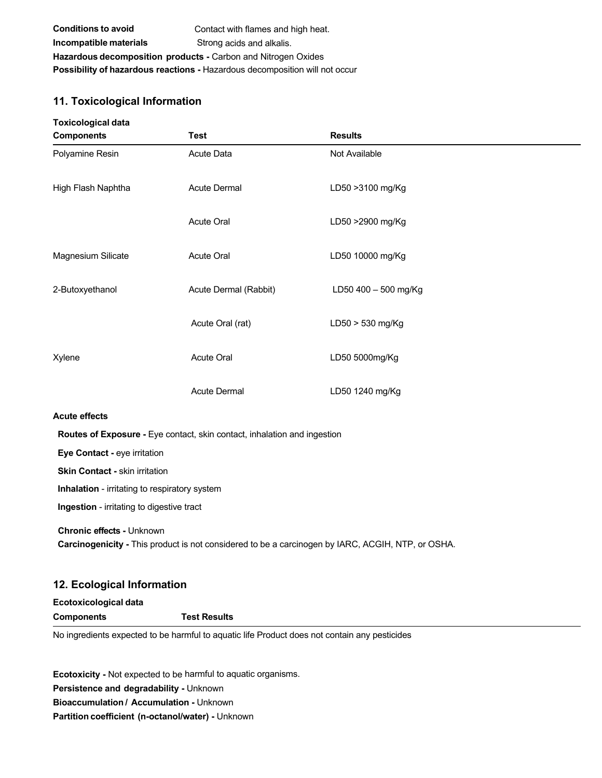| <b>Conditions to avoid</b>                                           | Contact with flames and high heat.                                                 |  |
|----------------------------------------------------------------------|------------------------------------------------------------------------------------|--|
| Incompatible materials                                               | Strong acids and alkalis.                                                          |  |
| <b>Hazardous decomposition products - Carbon and Nitrogen Oxides</b> |                                                                                    |  |
|                                                                      | <b>Possibility of hazardous reactions - Hazardous decomposition will not occur</b> |  |

# **11. Toxicological Information**

| <b>Toxicological data</b><br><b>Components</b> | Test                                                                     | <b>Results</b>                                                                                    |
|------------------------------------------------|--------------------------------------------------------------------------|---------------------------------------------------------------------------------------------------|
| Polyamine Resin                                | Acute Data                                                               | Not Available                                                                                     |
| High Flash Naphtha                             | Acute Dermal                                                             | LD50 > 3100 mg/Kg                                                                                 |
|                                                | Acute Oral                                                               | LD50 >2900 mg/Kg                                                                                  |
| Magnesium Silicate                             | <b>Acute Oral</b>                                                        | LD50 10000 mg/Kg                                                                                  |
| 2-Butoxyethanol                                | Acute Dermal (Rabbit)                                                    | LD50 400 - 500 mg/Kg                                                                              |
|                                                | Acute Oral (rat)                                                         | LD50 > 530 mg/Kg                                                                                  |
| Xylene                                         | <b>Acute Oral</b>                                                        | LD50 5000mg/Kg                                                                                    |
|                                                | <b>Acute Dermal</b>                                                      | LD50 1240 mg/Kg                                                                                   |
| <b>Acute effects</b>                           |                                                                          |                                                                                                   |
|                                                | Routes of Exposure - Eye contact, skin contact, inhalation and ingestion |                                                                                                   |
| Eye Contact - eye irritation                   |                                                                          |                                                                                                   |
| <b>Skin Contact - skin irritation</b>          |                                                                          |                                                                                                   |
| Inhalation - irritating to respiratory system  |                                                                          |                                                                                                   |
| Ingestion - irritating to digestive tract      |                                                                          |                                                                                                   |
| Chronic effects - Unknown                      |                                                                          | Carcinogenicity - This product is not considered to be a carcinogen by IARC, ACGIH, NTP, or OSHA. |
|                                                |                                                                          |                                                                                                   |

## **12. Ecological Information Ecotoxicological data**

| Ecotoxicological data |                     |  |
|-----------------------|---------------------|--|
| Components            | <b>Test Results</b> |  |
| .                     | .                   |  |

No ingredients expected to be harmful to aquatic life Product does not contain any pesticides

**Ecotoxicity -** Not expected to be harmful to aquatic organisms. **Persistence and degradability -** Unknown **Bioaccumulation / Accumulation -** Unknown **Partition coefficient (n-octanol/water) -** Unknown